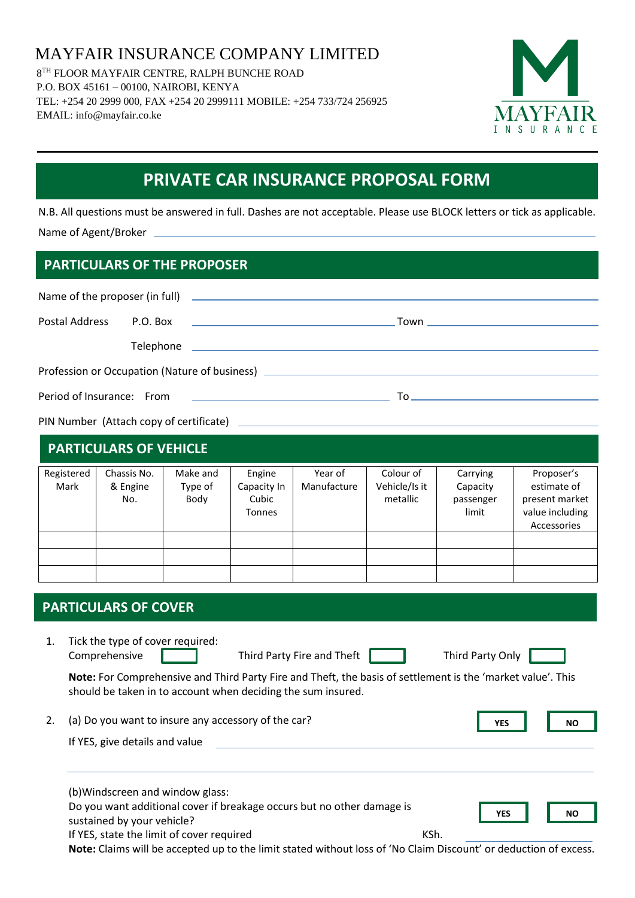MAYFAIR INSURANCE COMPANY LIMITED 8 TH FLOOR MAYFAIR CENTRE, RALPH BUNCHE ROAD P.O. BOX 45161 – 00100, NAIROBI, KENYA TEL: +254 20 2999 000, FAX +254 20 2999111 MOBILE: +254 733/724 256925 EMAIL: info@mayfair.co.ke



# **PRIVATE CAR INSURANCE PROPOSAL FORM**

N.B. All questions must be answered in full. Dashes are not acceptable. Please use BLOCK letters or tick as applicable. Name of Agent/Broker

## **PARTICULARS OF THE PROPOSER**

| Postal Address                                                                                               | P.O. Box    |          |               | the product of the state of the state of the state of the state of the state of |               |           |                 |  |  |  |  |
|--------------------------------------------------------------------------------------------------------------|-------------|----------|---------------|---------------------------------------------------------------------------------|---------------|-----------|-----------------|--|--|--|--|
|                                                                                                              |             |          |               |                                                                                 |               |           |                 |  |  |  |  |
| Profession or Occupation (Nature of business) __________________________________                             |             |          |               |                                                                                 |               |           |                 |  |  |  |  |
| Period of Insurance: From<br>the product of the state of the state of the state of the state of the state of |             |          |               |                                                                                 |               |           |                 |  |  |  |  |
|                                                                                                              |             |          |               |                                                                                 |               |           |                 |  |  |  |  |
| <b>PARTICULARS OF VEHICLE</b>                                                                                |             |          |               |                                                                                 |               |           |                 |  |  |  |  |
| Registered                                                                                                   | Chassis No. | Make and | Engine        | Year of                                                                         | Colour of     | Carrying  | Proposer's      |  |  |  |  |
| Mark                                                                                                         | & Engine    | Type of  | Capacity In   | Manufacture                                                                     | Vehicle/Is it | Capacity  | estimate of     |  |  |  |  |
|                                                                                                              | No.         | Body     | Cubic         |                                                                                 | metallic      | passenger | present market  |  |  |  |  |
|                                                                                                              |             |          | <b>Tonnes</b> |                                                                                 |               | limit     | value including |  |  |  |  |

### **PARTICULARS OF COVER**

1. Tick the type of cover required: Comprehensive Third Party Fire and Theft Third Party Only

YES **NO** 

**YES NO**

Accessories

**Note:** For Comprehensive and Third Party Fire and Theft, the basis of settlement is the 'market value'. This should be taken in to account when deciding the sum insured.

2. (a) Do you want to insure any accessory of the car?

If YES, give details and value

(b)Windscreen and window glass:

Do you want additional cover if breakage occurs but no other damage is

sustained by your vehicle?

If YES, state the limit of cover required Theorem Assets are the KSh.

**Note:** Claims will be accepted up to the limit stated without loss of 'No Claim Discount' or deduction of excess.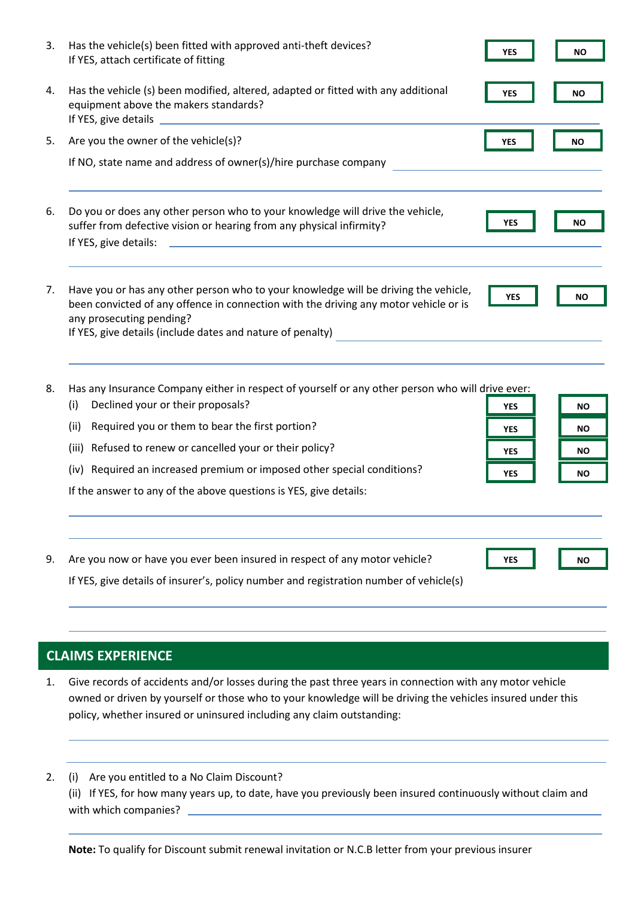| 3. | Has the vehicle(s) been fitted with approved anti-theft devices?<br>If YES, attach certificate of fitting                                                                                                                                                             | YES        | <b>NO</b> |
|----|-----------------------------------------------------------------------------------------------------------------------------------------------------------------------------------------------------------------------------------------------------------------------|------------|-----------|
| 4. | Has the vehicle (s) been modified, altered, adapted or fitted with any additional<br>equipment above the makers standards?                                                                                                                                            | <b>YES</b> | ΝO        |
| 5. | Are you the owner of the vehicle(s)?                                                                                                                                                                                                                                  | <b>YES</b> | ΝO        |
|    | If NO, state name and address of owner(s)/hire purchase company                                                                                                                                                                                                       |            |           |
| 6. | Do you or does any other person who to your knowledge will drive the vehicle,<br>suffer from defective vision or hearing from any physical infirmity?<br>If YES, give details:<br><u> 1980 - Jan Barnett, fransk politiker (d. 1980)</u>                              | <b>YES</b> | ΝO        |
| 7. | Have you or has any other person who to your knowledge will be driving the vehicle,<br>been convicted of any offence in connection with the driving any motor vehicle or is<br>any prosecuting pending?<br>If YES, give details (include dates and nature of penalty) | <b>YES</b> | <b>NO</b> |

8. Has any Insurance Company either in respect of yourself or any other person who will drive ever:

- (i) Declined your or their proposals?
- (ii) Required you or them to bear the first portion?
- (iii) Refused to renew or cancelled your or their policy?
- (iv) Required an increased premium or imposed other special conditions?

If the answer to any of the above questions is YES, give details:

9. Are you now or have you ever been insured in respect of any motor vehicle? YES **NO** 

**YES NO**

YES **NO YES NO**

YES **NO** 

If YES, give details of insurer's, policy number and registration number of vehicle(s)

#### **CLAIMS EXPERIENCE**

- 1. Give records of accidents and/or losses during the past three years in connection with any motor vehicle owned or driven by yourself or those who to your knowledge will be driving the vehicles insured under this policy, whether insured or uninsured including any claim outstanding:
- 2. (i) Are you entitled to a No Claim Discount?

(ii) If YES, for how many years up, to date, have you previously been insured continuously without claim and with which companies?